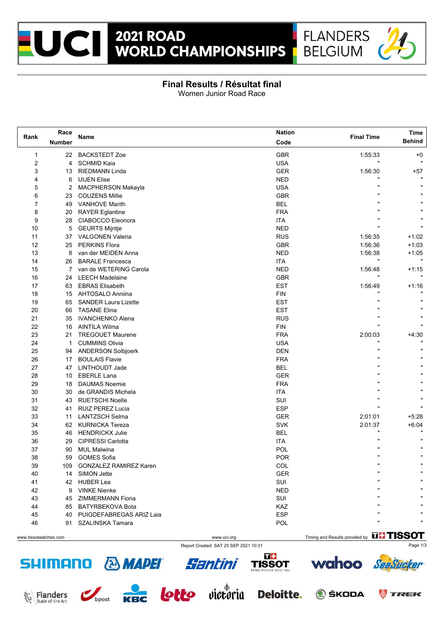

## **Final Results / Résultat final**

Women Junior Road Race

|                | Race         |                             | <b>Nation</b> |                   | Time          |  |
|----------------|--------------|-----------------------------|---------------|-------------------|---------------|--|
| Rank           | Number       | Name                        | Code          | <b>Final Time</b> | <b>Behind</b> |  |
| 1              | 22           | <b>BACKSTEDT Zoe</b>        | <b>GBR</b>    | 1:55:33           | $+0$          |  |
| $\overline{2}$ | 4            | <b>SCHMID Kaia</b>          | <b>USA</b>    |                   |               |  |
| 3              | 13           | <b>RIEDMANN Linda</b>       | <b>GER</b>    | 1:56:30           | +57           |  |
| 4              | 6            | <b>UIJEN Elise</b>          | <b>NED</b>    |                   |               |  |
| 5              | 2            | MACPHERSON Makayla          | <b>USA</b>    | Ħ                 |               |  |
| 6              | 23           | <b>COUZENS Millie</b>       | GBR           | $\blacksquare$    |               |  |
| 7              | 49           | <b>VANHOVE Marith</b>       | <b>BEL</b>    |                   |               |  |
| 8              | 20           | <b>RAYER Eglantine</b>      | <b>FRA</b>    |                   |               |  |
| 9              | 28           | CIABOCCO Eleonora           | <b>ITA</b>    |                   |               |  |
| 10             | 5            | <b>GEURTS Mijntje</b>       | <b>NED</b>    |                   |               |  |
| 11             | 37           | <b>VALGONEN Valeria</b>     | <b>RUS</b>    | 1:56:35           | $+1:02$       |  |
| 12             | 25           | <b>PERKINS Flora</b>        | GBR           | 1.56.36           | $+1:03$       |  |
| 13             | 8            | van der MEIDEN Anna         | <b>NED</b>    | 1:56:38           | $+1:05$       |  |
| 14             | 26           | <b>BARALE Francesca</b>     | <b>ITA</b>    | Ħ                 | $\mathbf{u}$  |  |
| 15             | 7            | van de WETERING Carola      | <b>NED</b>    | 1.56.48           | $+1:15$       |  |
| 16             | 24           | <b>LEECH Madelaine</b>      | <b>GBR</b>    | Ħ                 | $\mathbf{u}$  |  |
| 17             | 63           | <b>EBRAS Elisabeth</b>      | <b>EST</b>    | 1:56:49           | $+1:16$       |  |
| 18             | 15           | <b>AHTOSALO Anniina</b>     | <b>FIN</b>    | $\blacksquare$    |               |  |
| 19             | 65           | <b>SANDER Laura Lizette</b> | <b>EST</b>    | Ħ                 |               |  |
| 20             | 66           | <b>TASANE Elina</b>         | <b>EST</b>    |                   |               |  |
| 21             | 35           | <b>IVANCHENKO Alena</b>     | <b>RUS</b>    |                   | $\mathbf{u}$  |  |
| 22             | 16           | AINTILA Wilma               | <b>FIN</b>    |                   |               |  |
| 23             | 21           | <b>TREGOUET Maurene</b>     | <b>FRA</b>    | 2:00:03           | $+4:30$       |  |
| 24             | $\mathbf{1}$ | <b>CUMMINS Olivia</b>       | <b>USA</b>    |                   |               |  |
| 25             | 94           | <b>ANDERSON Solbjoerk</b>   | <b>DEN</b>    |                   |               |  |
| 26             | 17           | <b>BOULAIS Flavie</b>       | <b>FRA</b>    | Ħ                 |               |  |
| 27             | 47           | <b>LINTHOUDT Jade</b>       | <b>BEL</b>    |                   |               |  |
| 28             | 10           | <b>EBERLE Lana</b>          | <b>GER</b>    |                   |               |  |
| 29             | 18           | <b>DAUMAS Noemie</b>        | <b>FRA</b>    |                   |               |  |
| 30             | 30           | de GRANDIS Michela          | <b>ITA</b>    |                   |               |  |
| 31             | 43           | <b>RUETSCHI Noelle</b>      | SUI           |                   |               |  |
| 32             | 41           | RUIZ PEREZ Lucia            | <b>ESP</b>    |                   |               |  |
| 33             | 11           | <b>LANTZSCH Selma</b>       | GER           | 2:01:01           | $+5.28$       |  |
| 34             | 62           | <b>KURNICKA Tereza</b>      | <b>SVK</b>    | 2:01:37           | $+6:04$       |  |
| 35             | 46           | <b>HENDRICKX Julie</b>      | <b>BEL</b>    |                   |               |  |
| 36             | 29           | CIPRESSI Carlotta           | <b>ITA</b>    |                   | $\mathbf{u}$  |  |
| 37             | 90           | <b>MUL Malwina</b>          | POL           |                   |               |  |
| 38             | 59           | <b>GOMES Sofia</b>          | POR           | $\blacksquare$    | $\mathbf{u}$  |  |
| 39             |              | 109 GONZALEZ RAMIREZ Karen  | COL           |                   |               |  |
| 40             |              | 14 SIMON Jette              | <b>GER</b>    |                   |               |  |
| 41             |              | 42 HUBER Lea                | SUI           |                   |               |  |
| 42             | 9            | <b>VINKE Nienke</b>         | <b>NED</b>    |                   |               |  |
| 43             |              | 45 ZIMMERMANN Fiona         | SUI           |                   |               |  |
| 44             | 85           | BATYRBEKOVA Bota            | KAZ           |                   |               |  |
| 45             |              | 40 PUIGDEFABREGAS ARIZ Laia | <b>ESP</b>    |                   |               |  |
| 46             |              | 91 SZALINSKA Tamara         | POL           |                   |               |  |

Report Created SAT 25 SEP 2021 10:31 Page 1/3

www.uci.org Timing and Results provided by THSSOT







 $\sqrt{1}$  TREK





**SHIMANO & MAPET**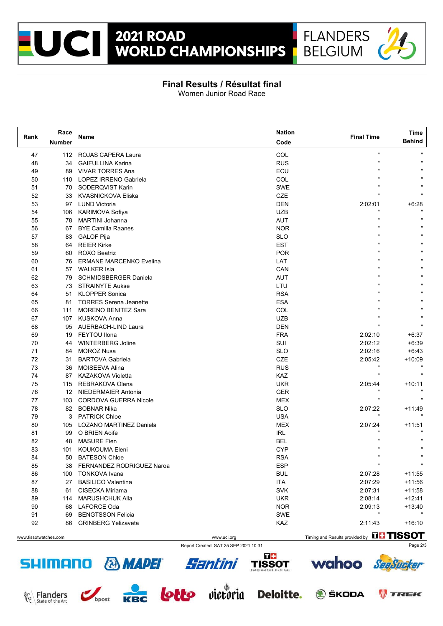



## **Final Results / Résultat final**

Women Junior Road Race

| Rank                  | Race          | Name                           |             | <b>Nation</b><br><b>Final Time</b>            | Time          |
|-----------------------|---------------|--------------------------------|-------------|-----------------------------------------------|---------------|
|                       | <b>Number</b> |                                | Code        |                                               | <b>Behind</b> |
| 47                    | 112           | ROJAS CAPERA Laura             | COL         | $\blacksquare$                                |               |
| 48                    | 34            | <b>GAIFULLINA Karina</b>       | <b>RUS</b>  | $\mathbf{u}$                                  |               |
| 49                    | 89            | <b>VIVAR TORRES Ana</b>        | ECU         | $\mathbf{u}$                                  |               |
| 50                    | 110           | <b>LOPEZ IRRENO Gabriela</b>   | COL         | $\mathbf{u}$                                  |               |
| 51                    | 70            | SODERQVIST Karin               | <b>SWE</b>  |                                               |               |
| 52                    | 33            | <b>KVASNICKOVA Eliska</b>      | CZE         |                                               |               |
| 53                    | 97            | <b>LUND Victoria</b>           | <b>DEN</b>  | 2:02:01                                       | $+6:28$       |
| 54                    | 106           | <b>KARIMOVA Sofiya</b>         | <b>UZB</b>  |                                               |               |
| 55                    | 78            | <b>MARTINI Johanna</b>         | AUT         | $\mathbf{u}$                                  | $\mathbf{u}$  |
| 56                    | 67            | <b>BYE Camilla Raanes</b>      | <b>NOR</b>  | $\mathbf{u}$                                  |               |
| 57                    | 83            | <b>GALOF Pija</b>              | <b>SLO</b>  | $\mathbf{u}$                                  |               |
| 58                    | 64            | <b>REIER Kirke</b>             | <b>EST</b>  | $\mathbf{u}$                                  |               |
| 59                    | 60            | <b>ROXO Beatriz</b>            | <b>POR</b>  | $\mathbf{u}$                                  |               |
| 60                    | 76            | <b>ERMANE MARCENKO Evelina</b> | LAT         | $\mathbf{u}$                                  |               |
| 61                    | 57            | <b>WALKER Isla</b>             | CAN         | $\mathbf{u}$                                  |               |
| 62                    | 79            | <b>SCHMIDSBERGER Daniela</b>   | AUT         | $\mathbf{u}$                                  |               |
| 63                    | 73            | <b>STRAINYTE Aukse</b>         | LTU         |                                               |               |
| 64                    | 51            | <b>KLOPPER Sonica</b>          | <b>RSA</b>  |                                               |               |
| 65                    | 81            | <b>TORRES Serena Jeanette</b>  | <b>ESA</b>  |                                               |               |
| 66                    | 111           | <b>MORENO BENITEZ Sara</b>     | COL         |                                               |               |
| 67                    | 107           | KUSKOVA Anna                   | <b>UZB</b>  |                                               |               |
| 68                    | 95            | <b>AUERBACH-LIND Laura</b>     | <b>DEN</b>  | $\mathbf{u}$                                  |               |
| 69                    | 19            | <b>FEYTOU llona</b>            | <b>FRA</b>  | 2:02:10                                       | $+6:37$       |
| 70                    | 44            | <b>WINTERBERG Joline</b>       | SUI         | 2:02:12                                       | $+6:39$       |
| 71                    | 84            | <b>MOROZ Nusa</b>              | <b>SLO</b>  | 2:02:16                                       | $+6.43$       |
| 72                    | 31            | <b>BARTOVA Gabriela</b>        | CZE         | 2:05:42                                       | $+10:09$      |
| 73                    | 36            | MOISEEVA Alina                 | <b>RUS</b>  | $\mathbf{u}$                                  |               |
| 74                    | 87            | KAZAKOVA Violetta              | KAZ         |                                               |               |
| 75                    | 115           | REBRAKOVA Olena                | <b>UKR</b>  | 2:05:44                                       | $+10:11$      |
| 76                    | 12            | <b>NIEDERMAIER Antonia</b>     | <b>GER</b>  |                                               |               |
| 77                    | 103           | CORDOVA GUERRA Nicole          | <b>MEX</b>  | $\mathbf{u}$                                  |               |
| 78                    | 82            | <b>BOBNAR Nika</b>             | <b>SLO</b>  | 2:07:22                                       | $+11.49$      |
| 79                    | 3             | <b>PATRICK Chloe</b>           | <b>USA</b>  |                                               |               |
| 80                    | 105           | LOZANO MARTINEZ Daniela        | <b>MEX</b>  | 2:07:24                                       | $+11:51$      |
| 81                    | 99            | O BRIEN Aoife                  | <b>IRL</b>  |                                               |               |
| 82                    | 48            | <b>MASURE Fien</b>             | <b>BEL</b>  |                                               |               |
| 83                    | 101           | <b>KOUKOUMA Eleni</b>          | <b>CYP</b>  |                                               |               |
| 84                    | 50            | <b>BATESON Chloe</b>           | <b>RSA</b>  |                                               | $\mathbf{u}$  |
| 85                    |               | 38 FERNANDEZ RODRIGUEZ Naroa   | <b>ESP</b>  | п                                             |               |
| 86                    |               | 100 TONKOVA Ivana              | <b>BUL</b>  | 2:07:28                                       | $+11:55$      |
| 87                    |               | 27 BASILICO Valentina          | ITA         | 2:07:29                                       | $+11:56$      |
| 88                    | 61            | CISECKA Miriama                | <b>SVK</b>  | 2:07:31                                       | $+11:58$      |
| 89                    |               | 114 MARUSHCHUK Alla            | <b>UKR</b>  | 2:08:14                                       | $+12:41$      |
| 90                    |               | 68 LAFORCE Oda                 | <b>NOR</b>  | 2:09:13                                       | $+13:40$      |
| 91                    |               | 69 BENGTSSON Felicia           | SWE         |                                               |               |
| 92                    |               | 86 GRINBERG Yelizaveta         | KAZ         | 2:11:43                                       | $+16:10$      |
| www.tissotwatches.com |               |                                | www.uci.org | Timing and Results provided by <b>THISSOT</b> |               |

Report Created SAT 25 SEP 2021 10:31 Page 2/3







 $\sqrt{1}$  TREK